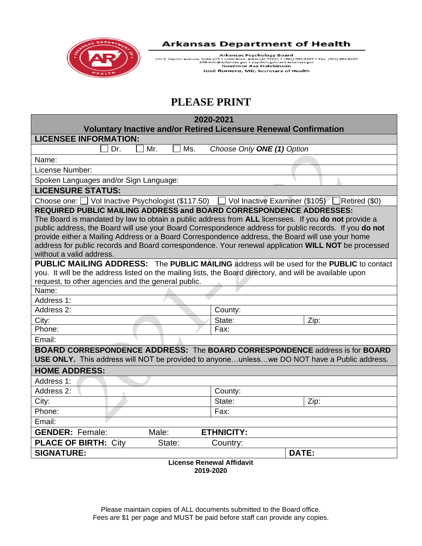

Arkansas Psychology Board<br>101 E. Capitol Avenue, Suite 415 • Little Rock, Arkansas 72201 • (501) 682-6167 • Fax: (501) 682-6165<br>APB.Info@Arkansas.gov • psychologyboard.Arkansas.gov<br>Governor Asa Hutchinson<br>José Romero, MD,

# **PLEASE PRINT**

|                                                                                                                                                                                                                                                                                                                   | 2020-2021<br><b>Voluntary Inactive and/or Retired Licensure Renewal Confirmation</b>                                                                                                                          |  |  |
|-------------------------------------------------------------------------------------------------------------------------------------------------------------------------------------------------------------------------------------------------------------------------------------------------------------------|---------------------------------------------------------------------------------------------------------------------------------------------------------------------------------------------------------------|--|--|
| <b>LICENSEE INFORMATION:</b>                                                                                                                                                                                                                                                                                      |                                                                                                                                                                                                               |  |  |
| Mr.<br>Ms.<br>Dr.                                                                                                                                                                                                                                                                                                 | Choose Only ONE (1) Option                                                                                                                                                                                    |  |  |
| Name:                                                                                                                                                                                                                                                                                                             |                                                                                                                                                                                                               |  |  |
| License Number:                                                                                                                                                                                                                                                                                                   |                                                                                                                                                                                                               |  |  |
| Spoken Languages and/or Sign Language:                                                                                                                                                                                                                                                                            |                                                                                                                                                                                                               |  |  |
| <b>LICENSURE STATUS:</b>                                                                                                                                                                                                                                                                                          |                                                                                                                                                                                                               |  |  |
| Choose one: Vol Inactive Psychologist (\$117.50) Vol Inactive Examiner (\$105) Retired (\$0)                                                                                                                                                                                                                      |                                                                                                                                                                                                               |  |  |
| <b>REQUIRED PUBLIC MAILING ADDRESS and BOARD CORRESPONDENCE ADDRESSES:</b><br>The Board is mandated by law to obtain a public address from ALL licensees. If you do not provide a<br>provide either a Mailing Address or a Board Correspondence address, the Board will use your home<br>without a valid address. | public address, the Board will use your Board Correspondence address for public records. If you do not<br>address for public records and Board correspondence. Your renewal application WILL NOT be processed |  |  |
| you. It will be the address listed on the mailing lists, the Board directory, and will be available upon<br>request, to other agencies and the general public.                                                                                                                                                    | <b>PUBLIC MAILING ADDRESS:</b> The PUBLIC MAILING address will be used for the PUBLIC to contact                                                                                                              |  |  |
| Name:                                                                                                                                                                                                                                                                                                             |                                                                                                                                                                                                               |  |  |
| Address 1:                                                                                                                                                                                                                                                                                                        |                                                                                                                                                                                                               |  |  |
| Address 2:                                                                                                                                                                                                                                                                                                        | County:                                                                                                                                                                                                       |  |  |
| City:                                                                                                                                                                                                                                                                                                             | State:<br>Zip:                                                                                                                                                                                                |  |  |
| Phone:                                                                                                                                                                                                                                                                                                            | Fax:                                                                                                                                                                                                          |  |  |
| Email:                                                                                                                                                                                                                                                                                                            |                                                                                                                                                                                                               |  |  |
|                                                                                                                                                                                                                                                                                                                   | <b>BOARD CORRESPONDENCE ADDRESS: The BOARD CORRESPONDENCE address is for BOARD</b><br>USE ONLY. This address will NOT be provided to anyoneunlesswe DO NOT have a Public address.                             |  |  |
| <b>HOME ADDRESS:</b>                                                                                                                                                                                                                                                                                              |                                                                                                                                                                                                               |  |  |
| Address 1:                                                                                                                                                                                                                                                                                                        |                                                                                                                                                                                                               |  |  |
| Address 2:                                                                                                                                                                                                                                                                                                        | County:                                                                                                                                                                                                       |  |  |
| City:                                                                                                                                                                                                                                                                                                             | State:<br>Zip:                                                                                                                                                                                                |  |  |
| Phone:                                                                                                                                                                                                                                                                                                            | Fax:                                                                                                                                                                                                          |  |  |
| Email:                                                                                                                                                                                                                                                                                                            |                                                                                                                                                                                                               |  |  |
| <b>GENDER: Female:</b><br>Male:                                                                                                                                                                                                                                                                                   | <b>ETHNICITY:</b>                                                                                                                                                                                             |  |  |
| <b>PLACE OF BIRTH: City</b><br>State:                                                                                                                                                                                                                                                                             | Country:                                                                                                                                                                                                      |  |  |
| <b>SIGNATURE:</b>                                                                                                                                                                                                                                                                                                 | DATE:                                                                                                                                                                                                         |  |  |
| <b>License Renewal Affidavit</b>                                                                                                                                                                                                                                                                                  |                                                                                                                                                                                                               |  |  |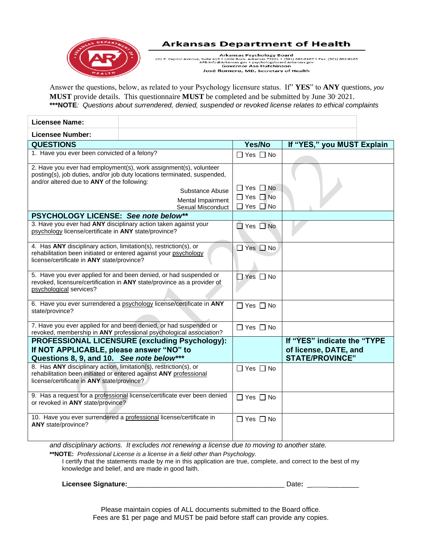

Arkansas Psychology Board<br>101 E. Capitol Avenue, Suite 415 • Little Rock, Arkansas 72201 • (501) 682-6167 • Fax: (501) 682-6165<br>APB.Info@Arkansas.gov • psychologyboard.Arkansas.gov<br>Governor Asa Hutchinson José Romero, MD, Secretary of Health

Answer the questions, below, as related to your Psychology licensure status. If" **YES**" to **ANY** questions, *you* **MUST** provide details. This questionnaire **MUST** be completed and be submitted by June 30, 2021. **\*\*\*NOTE***: Questions about surrendered, denied, suspended or revoked license relates to ethical complaints* 

| <b>Licensee Name:</b>                                                                                                                                                               |                                                                                                                                                                                                            |                                                                      |                                                                                |
|-------------------------------------------------------------------------------------------------------------------------------------------------------------------------------------|------------------------------------------------------------------------------------------------------------------------------------------------------------------------------------------------------------|----------------------------------------------------------------------|--------------------------------------------------------------------------------|
| <b>Licensee Number:</b>                                                                                                                                                             |                                                                                                                                                                                                            |                                                                      |                                                                                |
| <b>QUESTIONS</b>                                                                                                                                                                    |                                                                                                                                                                                                            | Yes/No                                                               | If "YES," you MUST Explain                                                     |
| 1. Have you ever been convicted of a felony?                                                                                                                                        |                                                                                                                                                                                                            | $\Box$ Yes $\Box$ No                                                 |                                                                                |
| and/or altered due to ANY of the following:                                                                                                                                         | 2. Have you ever had employment(s), work assignment(s), volunteer<br>posting(s), job duties, and/or job duty locations terminated, suspended,<br>Substance Abuse<br>Mental Impairment<br>Sexual Misconduct | $\Box$ Yes $\Box$ No<br>$\Box$ Yes $\Box$ No<br>$\Box$ Yes $\Box$ No |                                                                                |
| PSYCHOLOGY LICENSE: See note below**                                                                                                                                                |                                                                                                                                                                                                            |                                                                      |                                                                                |
| psychology license/certificate in ANY state/province?                                                                                                                               | 3. Have you ever had ANY disciplinary action taken against your                                                                                                                                            | $\Box$ Yes $\Box$ No                                                 |                                                                                |
| 4. Has ANY disciplinary action, limitation(s), restriction(s), or<br>rehabilitation been initiated or entered against your psychology<br>license/certificate in ANY state/province? |                                                                                                                                                                                                            | $\Box$ Yes $\Box$ No                                                 |                                                                                |
| psychological services?                                                                                                                                                             | 5. Have you ever applied for and been denied, or had suspended or<br>revoked, licensure/certification in ANY state/province as a provider of                                                               | $\Box$ Yes $\Box$ No                                                 |                                                                                |
| state/province?                                                                                                                                                                     | 6. Have you ever surrendered a psychology license/certificate in ANY                                                                                                                                       | $\Box$ Yes $\Box$ No                                                 |                                                                                |
|                                                                                                                                                                                     | 7. Have you ever applied for and been denied, or had suspended or<br>revoked, membership in ANY professional psychological association?                                                                    | □ Yes □ No                                                           |                                                                                |
| If NOT APPLICABLE, please answer "NO" to<br>Questions 8, 9, and 10. See note below***                                                                                               | PROFESSIONAL LICENSURE (excluding Psychology):                                                                                                                                                             |                                                                      | If "YES" indicate the "TYPE<br>of license, DATE, and<br><b>STATE/PROVINCE"</b> |
| 8. Has ANY disciplinary action, limitation(s), restriction(s), or<br>license/certificate in ANY state/province?                                                                     | rehabilitation been initiated or entered against ANY professional                                                                                                                                          | $\Box$ Yes $\Box$ No                                                 |                                                                                |
| or revoked in ANY state/province?                                                                                                                                                   | 9. Has a request for a professional license/certificate ever been denied                                                                                                                                   | $\Box$ Yes $\Box$ No                                                 |                                                                                |
| ANY state/province?                                                                                                                                                                 | 10. Have you ever surrendered a professional license/certificate in                                                                                                                                        | $\Box$ Yes $\Box$ No                                                 |                                                                                |

*and disciplinary actions. It excludes not renewing a license due to moving to another state.*

**\*\*NOTE:** *Professional License is a license in a field other than Psychology.*

I certify that the statements made by me in this application are true, complete, and correct to the best of my knowledge and belief, and are made in good faith.

**Licensee Signature:**\_\_\_\_\_\_\_\_\_\_\_\_\_\_\_\_\_\_\_\_\_\_\_\_\_\_\_\_\_\_\_\_\_\_\_\_\_\_\_\_\_ Date**:** \_ \_\_\_\_\_\_\_\_

Please maintain copies of ALL documents submitted to the Board office. Fees are \$1 per page and MUST be paid before staff can provide any copies.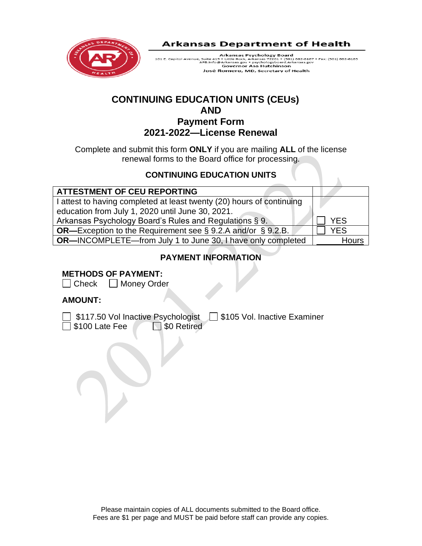

Arkansas Psychology Board Arkansas Psychology Board<br>101 E. Capitol Avenue, Suite 415 + Little Rock, Arkansas 72201 + (501) 682-6167 + Fax: (501) 682-6165<br>APB.Info@Arkansas.gov + psychologybard.Arkansas.gov<br>Governor Asa Hutchinson José Romero, MD, Secretary of Health

# **CONTINUING EDUCATION UNITS (CEUs) AND**

# **Payment Form 2021-2022—License Renewal**

Complete and submit this form **ONLY** if you are mailing **ALL** of the license renewal forms to the Board office for processing.

## **CONTINUING EDUCATION UNITS**

| YES          |
|--------------|
| YES          |
| <b>Hours</b> |
|              |

# **PAYMENT INFORMATION**

## **METHODS OF PAYMENT:**

 $\Box$  Check  $\Box$  Money Order

## **AMOUNT:**

] \$117.50 Vol Inactive Psychologist □ \$105 Vol. Inactive Examiner \$100 Late Fee \\ \ \ \ \ \ \$0 Retired